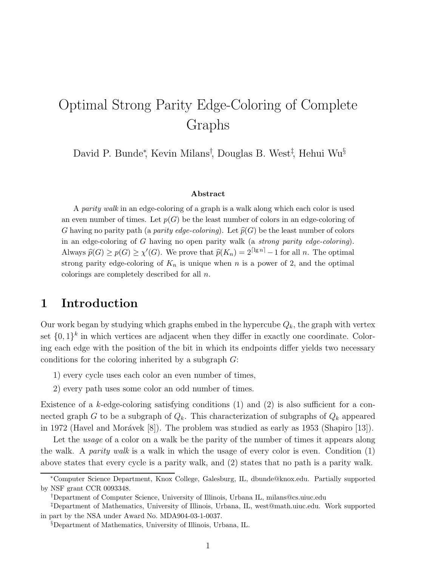# Optimal Strong Parity Edge-Coloring of Complete Graphs

David P. Bunde<sup>\*</sup>, Kevin Milans<sup>†</sup>, Douglas B. West<sup>‡</sup>, Hehui Wu<sup>§</sup>

#### Abstract

A parity walk in an edge-coloring of a graph is a walk along which each color is used an even number of times. Let  $p(G)$  be the least number of colors in an edge-coloring of G having no parity path (a parity edge-coloring). Let  $\widehat{p}(G)$  be the least number of colors in an edge-coloring of G having no open parity walk (a strong parity edge-coloring). Always  $\widehat{p}(G) \geq p(G) \geq \chi'(G)$ . We prove that  $\widehat{p}(K_n) = 2^{\lceil \lg n \rceil} - 1$  for all n. The optimal strong parity edge-coloring of  $K_n$  is unique when n is a power of 2, and the optimal colorings are completely described for all n.

### 1 Introduction

Our work began by studying which graphs embed in the hypercube  $Q_k$ , the graph with vertex set  $\{0,1\}^k$  in which vertices are adjacent when they differ in exactly one coordinate. Coloring each edge with the position of the bit in which its endpoints differ yields two necessary conditions for the coloring inherited by a subgraph G:

- 1) every cycle uses each color an even number of times,
- 2) every path uses some color an odd number of times.

Existence of a  $k$ -edge-coloring satisfying conditions  $(1)$  and  $(2)$  is also sufficient for a connected graph G to be a subgraph of  $Q_k$ . This characterization of subgraphs of  $Q_k$  appeared in 1972 (Havel and Morávek  $[8]$ ). The problem was studied as early as 1953 (Shapiro  $[13]$ ).

Let the *usage* of a color on a walk be the parity of the number of times it appears along the walk. A *parity walk* is a walk in which the usage of every color is even. Condition  $(1)$ above states that every cycle is a parity walk, and (2) states that no path is a parity walk.

<sup>∗</sup>Computer Science Department, Knox College, Galesburg, IL, dbunde@knox.edu. Partially supported by NSF grant CCR 0093348.

<sup>†</sup>Department of Computer Science, University of Illinois, Urbana IL, milans@cs.uiuc.edu

<sup>‡</sup>Department of Mathematics, University of Illinois, Urbana, IL, west@math.uiuc.edu. Work supported in part by the NSA under Award No. MDA904-03-1-0037.

<sup>§</sup>Department of Mathematics, University of Illinois, Urbana, IL.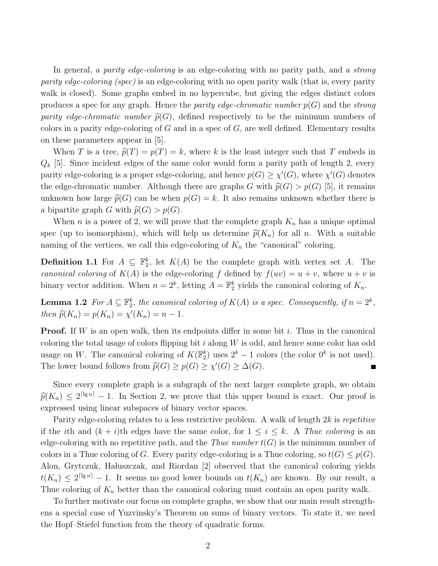In general, a *parity edge-coloring* is an edge-coloring with no parity path, and a *strong* parity edge-coloring (spec) is an edge-coloring with no open parity walk (that is, every parity walk is closed). Some graphs embed in no hypercube, but giving the edges distinct colors produces a spec for any graph. Hence the *parity edge-chromatic number*  $p(G)$  and the *strong* parity edge-chromatic number  $\widehat{p}(G)$ , defined respectively to be the minimum numbers of colors in a parity edge-coloring of  $G$  and in a spec of  $G$ , are well defined. Elementary results on these parameters appear in [5].

When T is a tree,  $\widehat{p}(T) = p(T) = k$ , where k is the least integer such that T embeds in  $Q_k$  [5]. Since incident edges of the same color would form a parity path of length 2, every parity edge-coloring is a proper edge-coloring, and hence  $p(G) \geq \chi'(G)$ , where  $\chi'(G)$  denotes the edge-chromatic number. Although there are graphs G with  $\hat{p}(G) > p(G)$  [5], it remains unknown how large  $\widehat{p}(G)$  can be when  $p(G) = k$ . It also remains unknown whether there is a bipartite graph G with  $\widehat{p}(G) > p(G)$ .

When *n* is a power of 2, we will prove that the complete graph  $K_n$  has a unique optimal spec (up to isomorphism), which will help us determine  $\hat{p}(K_n)$  for all n. With a suitable naming of the vertices, we call this edge-coloring of  $K_n$  the "canonical" coloring.

**Definition 1.1** For  $A \subseteq \mathbb{F}_2^k$ , let  $K(A)$  be the complete graph with vertex set A. The canonical coloring of  $K(A)$  is the edge-coloring f defined by  $f(uv) = u + v$ , where  $u + v$  is binary vector addition. When  $n = 2^k$ , letting  $A = \mathbb{F}_2^k$  yields the canonical coloring of  $K_n$ .

**Lemma 1.2** For  $A \subseteq \mathbb{F}_2^k$ , the canonical coloring of  $K(A)$  is a spec. Consequently, if  $n = 2^k$ , then  $\widehat{p}(K_n) = p(K_n) = \chi'(K_n) = n - 1$ .

**Proof.** If W is an open walk, then its endpoints differ in some bit i. Thus in the canonical coloring the total usage of colors flipping bit  $i$  along  $W$  is odd, and hence some color has odd usage on W. The canonical coloring of  $K(\mathbb{F}_2^k)$  uses  $2^k - 1$  colors (the color  $0^k$  is not used). The lower bound follows from  $\widehat{p}(G) \geq p(G) \geq \chi'(G) \geq \Delta(G)$ .

Since every complete graph is a subgraph of the next larger complete graph, we obtain  $\widehat{p}(K_n) \leq 2^{\lceil \lg n \rceil} - 1$ . In Section 2, we prove that this upper bound is exact. Our proof is expressed using linear subspaces of binary vector spaces.

Parity edge-coloring relates to a less restrictive problem. A walk of length 2k is repetitive if the ith and  $(k + i)$ th edges have the same color, for  $1 \leq i \leq k$ . A Thue coloring is an edge-coloring with no repetitive path, and the Thue number  $t(G)$  is the minimum number of colors in a Thue coloring of G. Every parity edge-coloring is a Thue coloring, so  $t(G) \leq p(G)$ . Alon, Grytczuk, Hałuszczak, and Riordan [2] observed that the canonical coloring yields  $t(K_n) \leq 2^{\lceil \lg n \rceil} - 1$ . It seems no good lower bounds on  $t(K_n)$  are known. By our result, a Thue coloring of  $K_n$  better than the canonical coloring must contain an open parity walk.

To further motivate our focus on complete graphs, we show that our main result strengthens a special case of Yuzvinsky's Theorem on sums of binary vectors. To state it, we need the Hopf–Stiefel function from the theory of quadratic forms.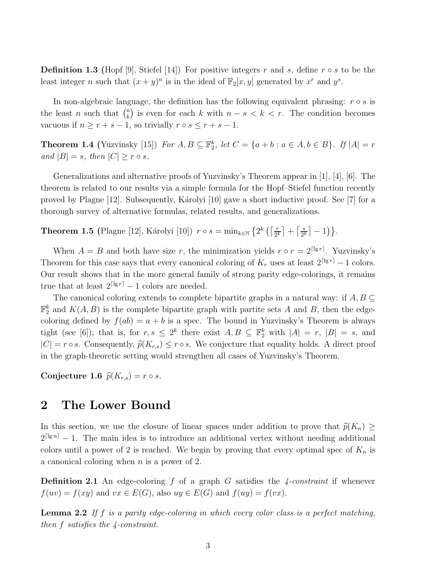**Definition 1.3** (Hopf [9], Stiefel [14]) For positive integers r and s, define  $r \circ s$  to be the least integer *n* such that  $(x + y)^n$  is in the ideal of  $\mathbb{F}_2[x, y]$  generated by  $x^r$  and  $y^s$ .

In non-algebraic language, the definition has the following equivalent phrasing:  $r \circ s$  is the least *n* such that  $\binom{n}{k}$ k is even for each k with  $n - s < k < r$ . The condition becomes vacuous if  $n \ge r + s - 1$ , so trivially  $r \circ s \le r + s - 1$ .

**Theorem 1.4** (Yuzvinsky [15]) For  $A, B \subseteq \mathbb{F}_2^k$ , let  $C = \{a + b : a \in A, b \in B\}$ . If  $|A| = r$ and  $|B| = s$ , then  $|C| \geq r \circ s$ .

Generalizations and alternative proofs of Yuzvinsky's Theorem appear in [1], [4], [6]. The theorem is related to our results via a simple formula for the Hopf–Stiefel function recently proved by Plagne  $[12]$ . Subsequently, Károlyi  $[10]$  gave a short inductive proof. See [7] for a thorough survey of alternative formulas, related results, and generalizations.

**Theorem 1.5** (Plagne [12], Károlyi [10])  $r \circ s = \min_{k \in \mathbb{N}} \left\{ 2^k \left( \left\lceil \frac{r}{2^k} \right\rceil \right) \right\}$  $\left[\frac{r}{2^k}\right] + \left[\frac{s}{2^k}\right]$  $\frac{s}{2^k}$  | -1) }.

When  $A = B$  and both have size r, the minimization yields  $r \circ r = 2^{\lceil \lg r \rceil}$ . Yuzvinsky's Theorem for this case says that every canonical coloring of  $K_r$  uses at least  $2^{\lceil \lg r \rceil} - 1$  colors. Our result shows that in the more general family of strong parity edge-colorings, it remains true that at least  $2^{\lceil \lg r \rceil} - 1$  colors are needed.

The canonical coloring extends to complete bipartite graphs in a natural way: if  $A, B \subseteq$  $\mathbb{F}_2^k$  and  $K(A, B)$  is the complete bipartite graph with partite sets A and B, then the edgecoloring defined by  $f(ab) = a + b$  is a spec. The bound in Yuzvinsky's Theorem is always tight (see [6]); that is, for  $r, s \leq 2^k$  there exist  $A, B \subseteq \mathbb{F}_2^k$  with  $|A| = r, |B| = s$ , and  $|C| = r \circ s$ . Consequently,  $\hat{p}(K_{r,s}) \leq r \circ s$ . We conjecture that equality holds. A direct proof in the graph-theoretic setting would strengthen all cases of Yuzvinsky's Theorem.

Conjecture 1.6  $\widehat{p}(K_{r,s}) = r \circ s$ .

#### 2 The Lower Bound

In this section, we use the closure of linear spaces under addition to prove that  $\hat{p}(K_n) \geq$  $2^{\lceil \lg n \rceil} - 1$ . The main idea is to introduce an additional vertex without needing additional colors until a power of 2 is reached. We begin by proving that every optimal spec of  $K_n$  is a canonical coloring when  $n$  is a power of 2.

**Definition 2.1** An edge-coloring f of a graph G satisfies the  $\frac{1}{4}$ -constraint if whenever  $f(uv) = f(xy)$  and  $vx \in E(G)$ , also  $uy \in E(G)$  and  $f(uy) = f(vx)$ .

**Lemma 2.2** If f is a parity edge-coloring in which every color class is a perfect matching, then f satisfies the 4-constraint.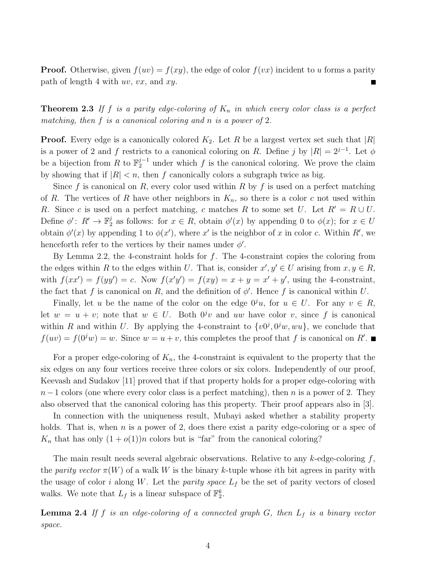**Proof.** Otherwise, given  $f(uv) = f(xy)$ , the edge of color  $f(vx)$  incident to u forms a parity path of length 4 with  $uv, vx$ , and  $xy$ .

**Theorem 2.3** If f is a parity edge-coloring of  $K_n$  in which every color class is a perfect matching, then f is a canonical coloring and n is a power of 2.

**Proof.** Every edge is a canonically colored  $K_2$ . Let R be a largest vertex set such that  $|R|$ is a power of 2 and f restricts to a canonical coloring on R. Define j by  $|R| = 2^{j-1}$ . Let  $\phi$ be a bijection from R to  $\mathbb{F}_2^{j-1}$  under which f is the canonical coloring. We prove the claim by showing that if  $|R| < n$ , then f canonically colors a subgraph twice as big.

Since f is canonical on R, every color used within R by f is used on a perfect matching of R. The vertices of R have other neighbors in  $K_n$ , so there is a color c not used within R. Since c is used on a perfect matching, c matches R to some set U. Let  $R' = R \cup U$ . Define  $\phi' : R' \to \mathbb{F}_2^j$ <sup>j</sup> as follows: for  $x \in R$ , obtain  $\phi'(x)$  by appending 0 to  $\phi(x)$ ; for  $x \in U$ obtain  $\phi'(x)$  by appending 1 to  $\phi(x')$ , where x' is the neighbor of x in color c. Within R', we henceforth refer to the vertices by their names under  $\phi'$ .

By Lemma 2.2, the 4-constraint holds for  $f$ . The 4-constraint copies the coloring from the edges within R to the edges within U. That is, consider  $x', y' \in U$  arising from  $x, y \in R$ , with  $f(xx') = f(yy') = c$ . Now  $f(x'y') = f(xy) = x + y = x' + y'$ , using the 4-constraint, the fact that f is canonical on R, and the definition of  $\phi'$ . Hence f is canonical within U.

Finally, let u be the name of the color on the edge  $0^j u$ , for  $u \in U$ . For any  $v \in R$ , let  $w = u + v$ ; note that  $w \in U$ . Both  $0^j v$  and uw have color v, since f is canonical within R and within U. By applying the 4-constraint to  $\{v^{(j)}, 0^j w, w u\}$ , we conclude that  $f(uv) = f(0^j w) = w$ . Since  $w = u + v$ , this completes the proof that f is canonical on R'.

For a proper edge-coloring of  $K_n$ , the 4-constraint is equivalent to the property that the six edges on any four vertices receive three colors or six colors. Independently of our proof, Keevash and Sudakov [11] proved that if that property holds for a proper edge-coloring with  $n-1$  colors (one where every color class is a perfect matching), then n is a power of 2. They also observed that the canonical coloring has this property. Their proof appears also in [3].

In connection with the uniqueness result, Mubayi asked whether a stability property holds. That is, when n is a power of 2, does there exist a parity edge-coloring or a spec of  $K_n$  that has only  $(1+o(1))n$  colors but is "far" from the canonical coloring?

The main result needs several algebraic observations. Relative to any  $k$ -edge-coloring f, the parity vector  $\pi(W)$  of a walk W is the binary k-tuple whose ith bit agrees in parity with the usage of color i along W. Let the *parity space*  $L_f$  be the set of parity vectors of closed walks. We note that  $L_f$  is a linear subspace of  $\mathbb{F}_2^k$ .

**Lemma 2.4** If f is an edge-coloring of a connected graph  $G$ , then  $L_f$  is a binary vector space.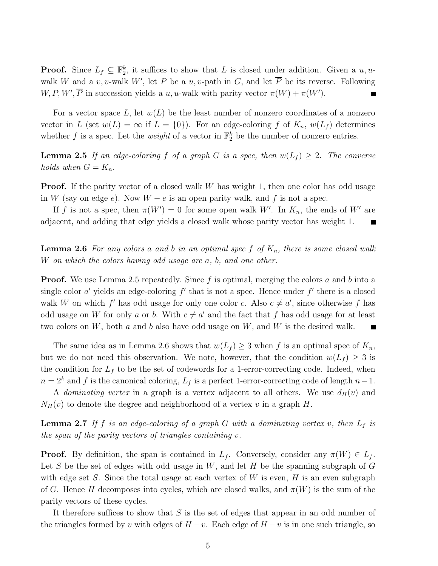**Proof.** Since  $L_f \subseteq \mathbb{F}_2^k$ , it suffices to show that L is closed under addition. Given a  $u, u$ walk W and a v, v-walk W', let P be a u, v-path in G, and let  $\overline{P}$  be its reverse. Following  $W, P, W', \overline{P}$  in succession yields a u, u-walk with parity vector  $\pi(W) + \pi(W')$ .

For a vector space L, let  $w(L)$  be the least number of nonzero coordinates of a nonzero vector in L (set  $w(L) = \infty$  if  $L = \{0\}$ ). For an edge-coloring f of  $K_n$ ,  $w(L_f)$  determines whether f is a spec. Let the *weight* of a vector in  $\mathbb{F}_2^k$  be the number of nonzero entries.

**Lemma 2.5** If an edge-coloring f of a graph G is a spec, then  $w(L_f) \geq 2$ . The converse holds when  $G = K_n$ .

**Proof.** If the parity vector of a closed walk  $W$  has weight 1, then one color has odd usage in W (say on edge e). Now  $W - e$  is an open parity walk, and f is not a spec.

If f is not a spec, then  $\pi(W') = 0$  for some open walk W'. In  $K_n$ , the ends of W' are adjacent, and adding that edge yields a closed walk whose parity vector has weight 1.  $\blacksquare$ 

**Lemma 2.6** For any colors a and b in an optimal spec f of  $K_n$ , there is some closed walk W on which the colors having odd usage are a, b, and one other.

**Proof.** We use Lemma 2.5 repeatedly. Since f is optimal, merging the colors a and b into a single color  $a'$  yields an edge-coloring  $f'$  that is not a spec. Hence under  $f'$  there is a closed walk W on which f' has odd usage for only one color c. Also  $c \neq a'$ , since otherwise f has odd usage on W for only a or b. With  $c \neq a'$  and the fact that f has odd usage for at least two colors on  $W$ , both  $a$  and  $b$  also have odd usage on  $W$ , and  $W$  is the desired walk.

The same idea as in Lemma 2.6 shows that  $w(L_f) \geq 3$  when f is an optimal spec of  $K_n$ , but we do not need this observation. We note, however, that the condition  $w(L_f) \geq 3$  is the condition for  $L_f$  to be the set of codewords for a 1-error-correcting code. Indeed, when  $n = 2<sup>k</sup>$  and f is the canonical coloring,  $L_f$  is a perfect 1-error-correcting code of length  $n-1$ .

A *dominating vertex* in a graph is a vertex adjacent to all others. We use  $d_H(v)$  and  $N_H(v)$  to denote the degree and neighborhood of a vertex v in a graph H.

**Lemma 2.7** If f is an edge-coloring of a graph G with a dominating vertex v, then  $L_f$  is the span of the parity vectors of triangles containing v.

**Proof.** By definition, the span is contained in  $L_f$ . Conversely, consider any  $\pi(W) \in L_f$ . Let S be the set of edges with odd usage in  $W$ , and let H be the spanning subgraph of G with edge set S. Since the total usage at each vertex of W is even, H is an even subgraph of G. Hence H decomposes into cycles, which are closed walks, and  $\pi(W)$  is the sum of the parity vectors of these cycles.

It therefore suffices to show that  $S$  is the set of edges that appear in an odd number of the triangles formed by v with edges of  $H - v$ . Each edge of  $H - v$  is in one such triangle, so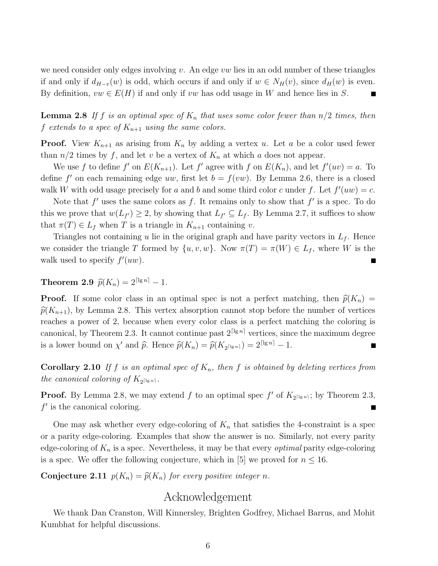we need consider only edges involving  $v$ . An edge  $vw$  lies in an odd number of these triangles if and only if  $d_{H-v}(w)$  is odd, which occurs if and only if  $w \in N_H(v)$ , since  $d_H(w)$  is even. By definition,  $vw \in E(H)$  if and only if vw has odd usage in W and hence lies in S.

**Lemma 2.8** If f is an optimal spec of  $K_n$  that uses some color fewer than  $n/2$  times, then f extends to a spec of  $K_{n+1}$  using the same colors.

**Proof.** View  $K_{n+1}$  as arising from  $K_n$  by adding a vertex u. Let a be a color used fewer than  $n/2$  times by f, and let v be a vertex of  $K_n$  at which a does not appear.

We use f to define f' on  $E(K_{n+1})$ . Let f' agree with f on  $E(K_n)$ , and let  $f'(uv) = a$ . To define f' on each remaining edge uw, first let  $b = f(vw)$ . By Lemma 2.6, there is a closed walk W with odd usage precisely for a and b and some third color c under f. Let  $f'(uw) = c$ .

Note that  $f'$  uses the same colors as f. It remains only to show that  $f'$  is a spec. To do this we prove that  $w(L_{f'}) \geq 2$ , by showing that  $L_{f'} \subseteq L_f$ . By Lemma 2.7, it suffices to show that  $\pi(T) \in L_f$  when T is a triangle in  $K_{n+1}$  containing v.

Triangles not containing u lie in the original graph and have parity vectors in  $L_f$ . Hence we consider the triangle T formed by  $\{u, v, w\}$ . Now  $\pi(T) = \pi(W) \in L_f$ , where W is the walk used to specify  $f'(uw)$ .

**Theorem 2.9**  $\hat{p}(K_n) = 2^{\lceil \lg n \rceil} - 1$ .

**Proof.** If some color class in an optimal spec is not a perfect matching, then  $\hat{p}(K_n)$  =  $\hat{p}(K_{n+1})$ , by Lemma 2.8. This vertex absorption cannot stop before the number of vertices reaches a power of 2, because when every color class is a perfect matching the coloring is canonical, by Theorem 2.3. It cannot continue past  $2^{\lceil \lg n \rceil}$  vertices, since the maximum degree is a lower bound on  $\chi'$  and  $\hat{p}$ . Hence  $\hat{p}(K_n) = \hat{p}(K_{2^{\lceil \lg n \rceil}}) = 2^{\lceil \lg n \rceil} - 1$ .  $\blacksquare$ 

**Corollary 2.10** If f is an optimal spec of  $K_n$ , then f is obtained by deleting vertices from the canonical coloring of  $K_{2^{\lceil \lg n \rceil}}$ .

**Proof.** By Lemma 2.8, we may extend f to an optimal spec f' of  $K_{2^{\lceil \lg n \rceil}}$ ; by Theorem 2.3,  $f'$  is the canonical coloring. Ē

One may ask whether every edge-coloring of  $K_n$  that satisfies the 4-constraint is a spec or a parity edge-coloring. Examples that show the answer is no. Similarly, not every parity edge-coloring of  $K_n$  is a spec. Nevertheless, it may be that every *optimal* parity edge-coloring is a spec. We offer the following conjecture, which in [5] we proved for  $n \leq 16$ .

**Conjecture 2.11**  $p(K_n) = \hat{p}(K_n)$  for every positive integer n.

#### Acknowledgement

We thank Dan Cranston, Will Kinnersley, Brighten Godfrey, Michael Barrus, and Mohit Kumbhat for helpful discussions.